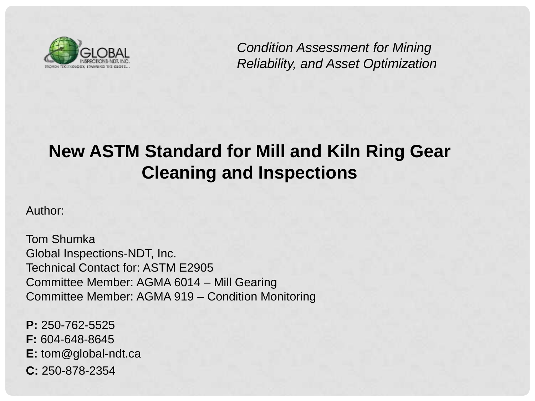

*Condition Assessment for Mining Reliability, and Asset Optimization*

## **New ASTM Standard for Mill and Kiln Ring Gear Cleaning and Inspections**

Author:

Tom Shumka Global Inspections-NDT, Inc. Technical Contact for: ASTM E2905 Committee Member: AGMA 6014 – Mill Gearing Committee Member: AGMA 919 – Condition Monitoring

**P:** 250-762-5525 **F:** 604-648-8645 **E:** tom@global-ndt.ca **C:** 250-878-2354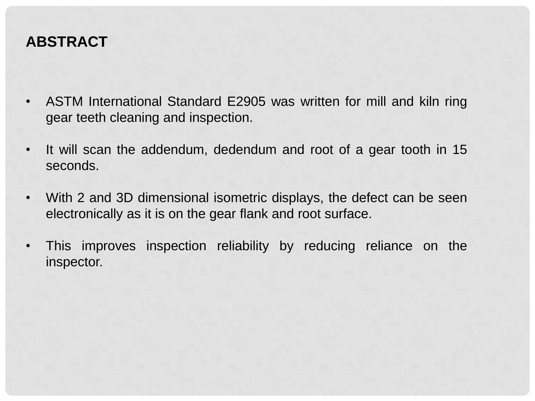#### **ABSTRACT**

- ASTM International Standard E2905 was written for mill and kiln ring gear teeth cleaning and inspection.
- It will scan the addendum, dedendum and root of a gear tooth in 15 seconds.
- With 2 and 3D dimensional isometric displays, the defect can be seen electronically as it is on the gear flank and root surface.
- This improves inspection reliability by reducing reliance on the inspector.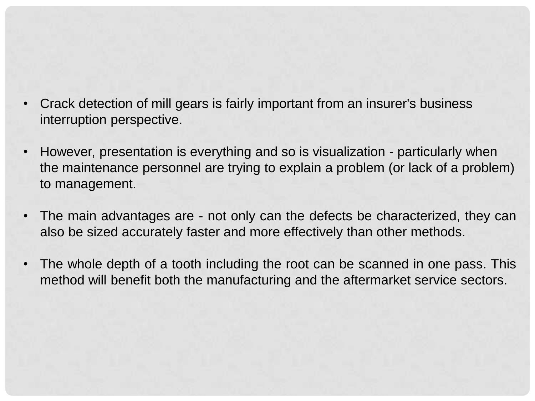- Crack detection of mill gears is fairly important from an insurer's business interruption perspective.
- However, presentation is everything and so is visualization particularly when the maintenance personnel are trying to explain a problem (or lack of a problem) to management.
- The main advantages are not only can the defects be characterized, they can also be sized accurately faster and more effectively than other methods.
- The whole depth of a tooth including the root can be scanned in one pass. This method will benefit both the manufacturing and the aftermarket service sectors.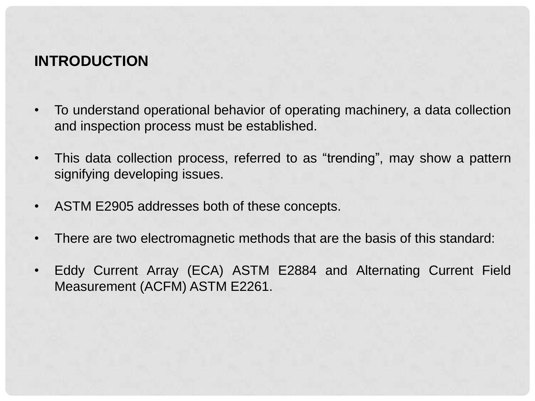#### **INTRODUCTION**

- To understand operational behavior of operating machinery, a data collection and inspection process must be established.
- This data collection process, referred to as "trending", may show a pattern signifying developing issues.
- ASTM E2905 addresses both of these concepts.
- There are two electromagnetic methods that are the basis of this standard:
- Eddy Current Array (ECA) ASTM E2884 and Alternating Current Field Measurement (ACFM) ASTM E2261.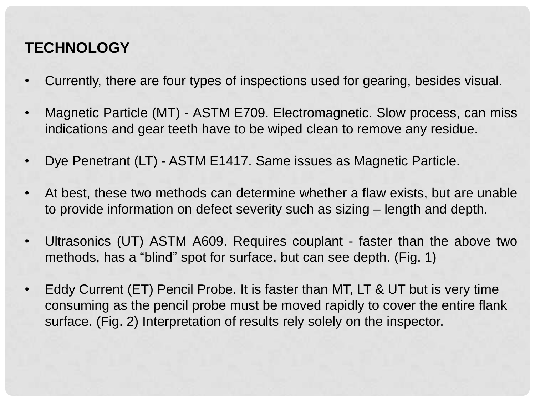### **TECHNOLOGY**

- Currently, there are four types of inspections used for gearing, besides visual.
- Magnetic Particle (MT) ASTM E709. Electromagnetic. Slow process, can miss indications and gear teeth have to be wiped clean to remove any residue.
- Dye Penetrant (LT) ASTM E1417. Same issues as Magnetic Particle.
- At best, these two methods can determine whether a flaw exists, but are unable to provide information on defect severity such as sizing – length and depth.
- Ultrasonics (UT) ASTM A609. Requires couplant faster than the above two methods, has a "blind" spot for surface, but can see depth. (Fig. 1)
- Eddy Current (ET) Pencil Probe. It is faster than MT, LT & UT but is very time consuming as the pencil probe must be moved rapidly to cover the entire flank surface. (Fig. 2) Interpretation of results rely solely on the inspector.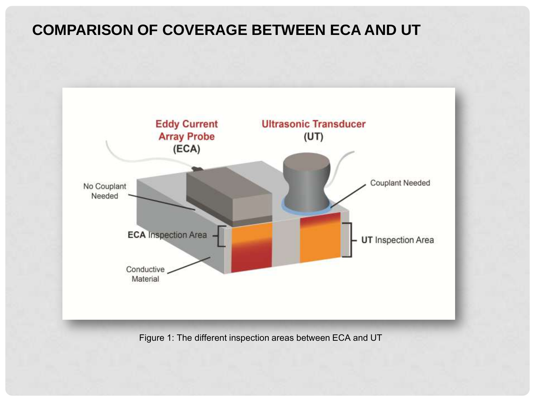#### **COMPARISON OF COVERAGE BETWEEN ECA AND UT**



Figure 1: The different inspection areas between ECA and UT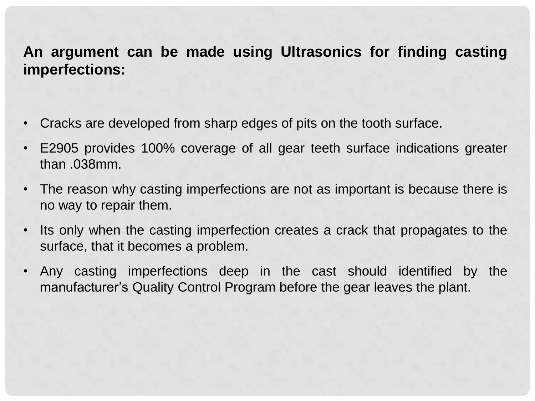#### **An argument can be made using Ultrasonics for finding casting imperfections:**

- Cracks are developed from sharp edges of pits on the tooth surface.
- E2905 provides 100% coverage of all gear teeth surface indications greater than .038mm.
- The reason why casting imperfections are not as important is because there is no way to repair them.
- Its only when the casting imperfection creates a crack that propagates to the surface, that it becomes a problem.
- Any casting imperfections deep in the cast should identified by the manufacturer's Quality Control Program before the gear leaves the plant.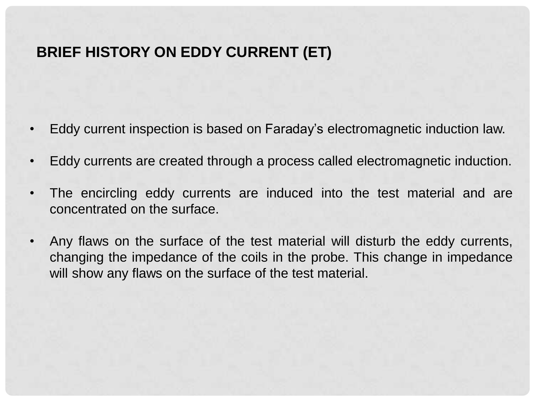#### **BRIEF HISTORY ON EDDY CURRENT (ET)**

- Eddy current inspection is based on Faraday's electromagnetic induction law.
- Eddy currents are created through a process called electromagnetic induction.
- The encircling eddy currents are induced into the test material and are concentrated on the surface.
- Any flaws on the surface of the test material will disturb the eddy currents, changing the impedance of the coils in the probe. This change in impedance will show any flaws on the surface of the test material.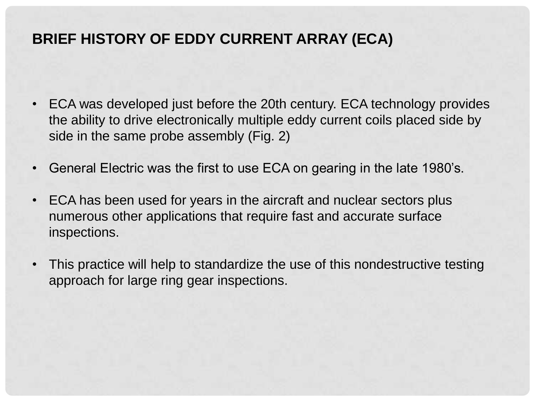#### **BRIEF HISTORY OF EDDY CURRENT ARRAY (ECA)**

- ECA was developed just before the 20th century. ECA technology provides the ability to drive electronically multiple eddy current coils placed side by side in the same probe assembly (Fig. 2)
- General Electric was the first to use ECA on gearing in the late 1980's.
- ECA has been used for years in the aircraft and nuclear sectors plus numerous other applications that require fast and accurate surface inspections.
- This practice will help to standardize the use of this nondestructive testing approach for large ring gear inspections.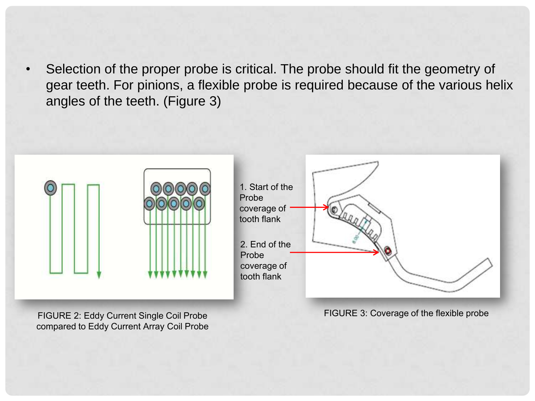Selection of the proper probe is critical. The probe should fit the geometry of gear teeth. For pinions, a flexible probe is required because of the various helix angles of the teeth. (Figure 3)



FIGURE 2: Eddy Current Single Coil Probe compared to Eddy Current Array Coil Probe

FIGURE 3: Coverage of the flexible probe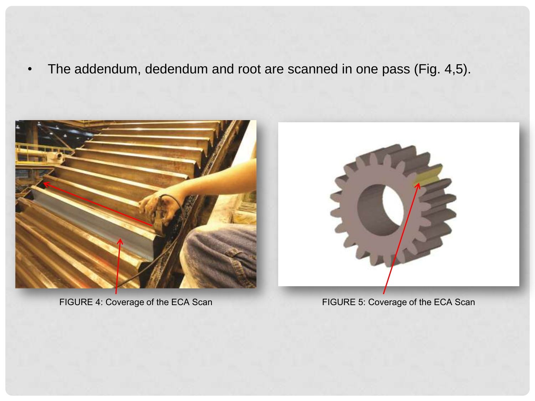• The addendum, dedendum and root are scanned in one pass (Fig. 4,5).





FIGURE 4: Coverage of the ECA Scan FIGURE 5: Coverage of the ECA Scan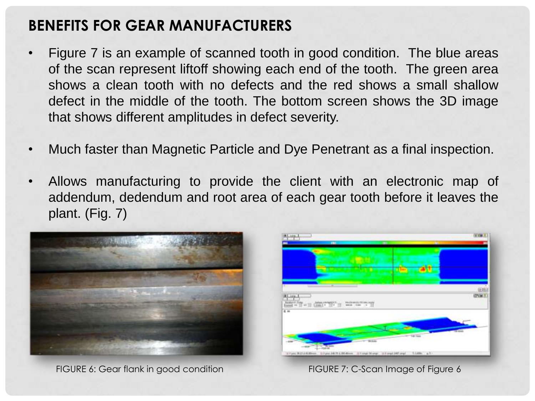### **BENEFITS FOR GEAR MANUFACTURERS**

- Figure 7 is an example of scanned tooth in good condition. The blue areas of the scan represent liftoff showing each end of the tooth. The green area shows a clean tooth with no defects and the red shows a small shallow defect in the middle of the tooth. The bottom screen shows the 3D image that shows different amplitudes in defect severity.
- Much faster than Magnetic Particle and Dye Penetrant as a final inspection.
- Allows manufacturing to provide the client with an electronic map of addendum, dedendum and root area of each gear tooth before it leaves the plant. (Fig. 7)



FIGURE 6: Gear flank in good condition FIGURE 7: C-Scan Image of Figure 6

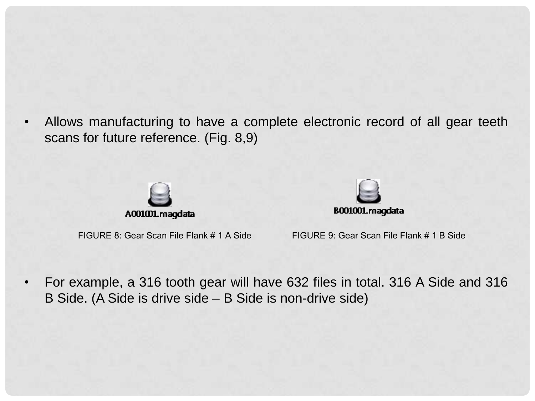• Allows manufacturing to have a complete electronic record of all gear teeth scans for future reference. (Fig. 8,9)





FIGURE 8: Gear Scan File Flank # 1 A Side FIGURE 9: Gear Scan File Flank # 1 B Side

• For example, a 316 tooth gear will have 632 files in total. 316 A Side and 316 B Side. (A Side is drive side – B Side is non-drive side)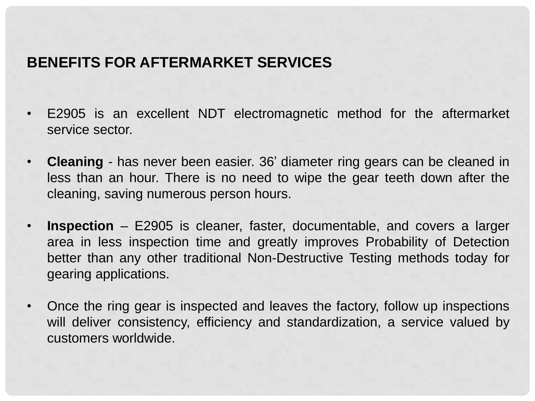#### **BENEFITS FOR AFTERMARKET SERVICES**

- E2905 is an excellent NDT electromagnetic method for the aftermarket service sector.
- **Cleaning** has never been easier. 36' diameter ring gears can be cleaned in less than an hour. There is no need to wipe the gear teeth down after the cleaning, saving numerous person hours.
- **Inspection** E2905 is cleaner, faster, documentable, and covers a larger area in less inspection time and greatly improves Probability of Detection better than any other traditional Non-Destructive Testing methods today for gearing applications.
- Once the ring gear is inspected and leaves the factory, follow up inspections will deliver consistency, efficiency and standardization, a service valued by customers worldwide.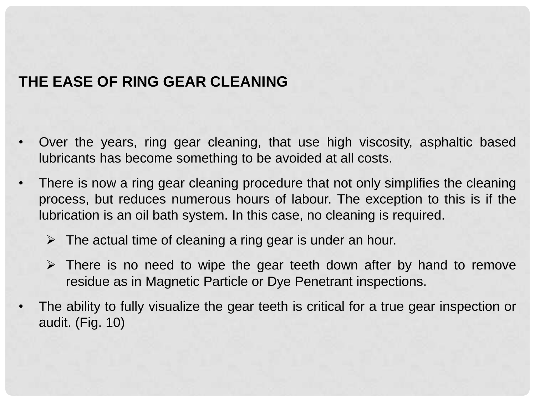#### **THE EASE OF RING GEAR CLEANING**

- Over the years, ring gear cleaning, that use high viscosity, asphaltic based lubricants has become something to be avoided at all costs.
- There is now a ring gear cleaning procedure that not only simplifies the cleaning process, but reduces numerous hours of labour. The exception to this is if the lubrication is an oil bath system. In this case, no cleaning is required.
	- $\triangleright$  The actual time of cleaning a ring gear is under an hour.
	- $\triangleright$  There is no need to wipe the gear teeth down after by hand to remove residue as in Magnetic Particle or Dye Penetrant inspections.
- The ability to fully visualize the gear teeth is critical for a true gear inspection or audit. (Fig. 10)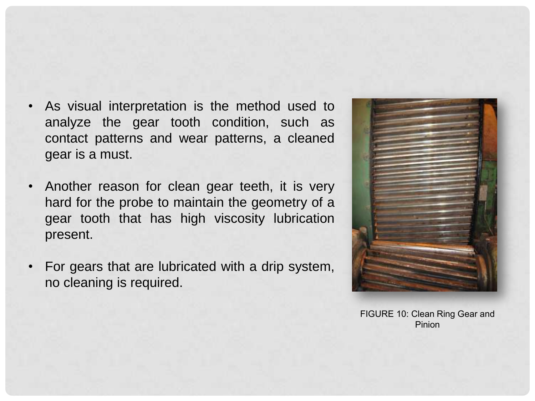- As visual interpretation is the method used to analyze the gear tooth condition, such as contact patterns and wear patterns, a cleaned gear is a must.
- Another reason for clean gear teeth, it is very hard for the probe to maintain the geometry of a gear tooth that has high viscosity lubrication present.
- For gears that are lubricated with a drip system, no cleaning is required.



FIGURE 10: Clean Ring Gear and Pinion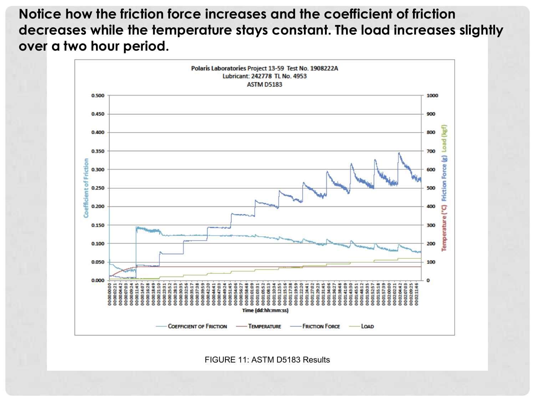**Notice how the friction force increases and the coefficient of friction decreases while the temperature stays constant. The load increases slightly over a two hour period.** 



FIGURE 11: ASTM D5183 Results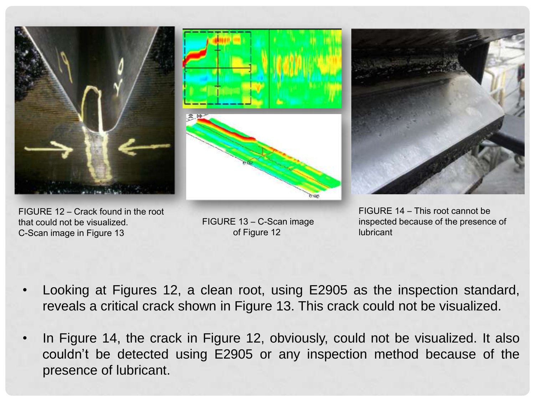





FIGURE 12 – Crack found in the root that could not be visualized. C-Scan image in Figure 13

FIGURE 13 – C-Scan image of Figure 12

FIGURE 14 – This root cannot be inspected because of the presence of lubricant

- Looking at Figures 12, a clean root, using E2905 as the inspection standard, reveals a critical crack shown in Figure 13. This crack could not be visualized.
- In Figure 14, the crack in Figure 12, obviously, could not be visualized. It also couldn't be detected using E2905 or any inspection method because of the presence of lubricant.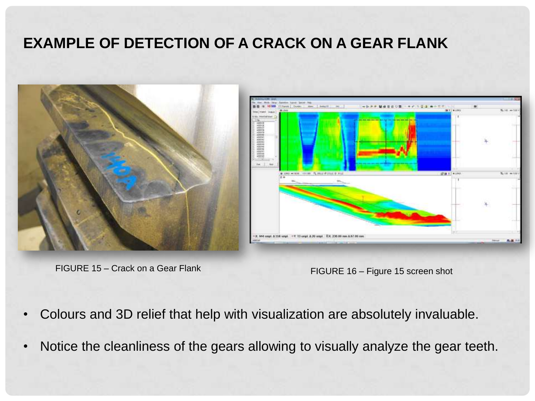#### **EXAMPLE OF DETECTION OF A CRACK ON A GEAR FLANK**



FIGURE 15 – Crack on a Gear Flank FIGURE 16 – Figure 15 screen shot



- Colours and 3D relief that help with visualization are absolutely invaluable.
- Notice the cleanliness of the gears allowing to visually analyze the gear teeth.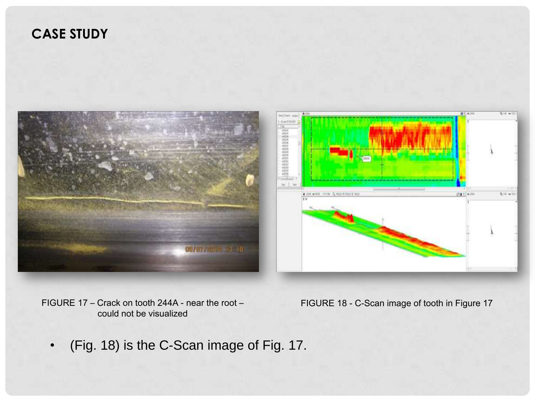#### **CASE STUDY**





FIGURE 17 – Crack on tooth 244A - near the root – could not be visualized

FIGURE 18 - C-Scan image of tooth in Figure 17

• (Fig. 18) is the C-Scan image of Fig. 17.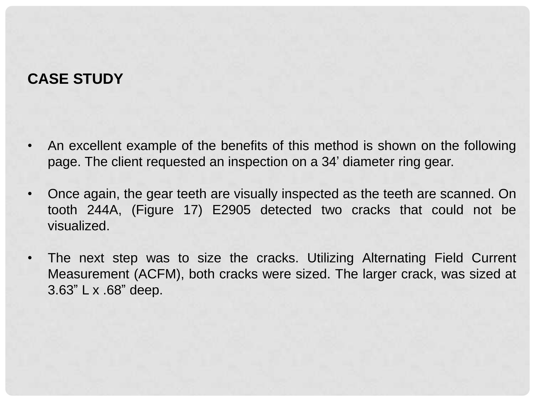#### **CASE STUDY**

- An excellent example of the benefits of this method is shown on the following page. The client requested an inspection on a 34' diameter ring gear.
- Once again, the gear teeth are visually inspected as the teeth are scanned. On tooth 244A, (Figure 17) E2905 detected two cracks that could not be visualized.
- The next step was to size the cracks. Utilizing Alternating Field Current Measurement (ACFM), both cracks were sized. The larger crack, was sized at 3.63" L x .68" deep.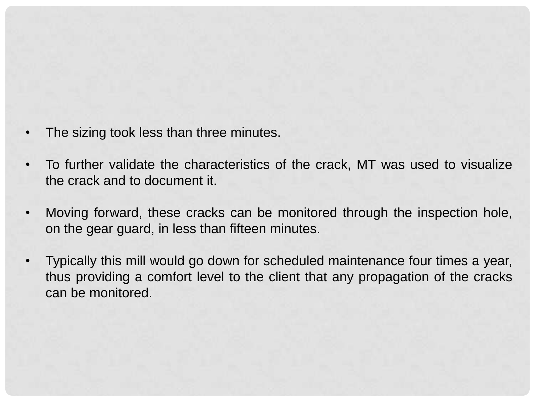- The sizing took less than three minutes.
- To further validate the characteristics of the crack, MT was used to visualize the crack and to document it.
- Moving forward, these cracks can be monitored through the inspection hole, on the gear guard, in less than fifteen minutes.
- Typically this mill would go down for scheduled maintenance four times a year, thus providing a comfort level to the client that any propagation of the cracks can be monitored.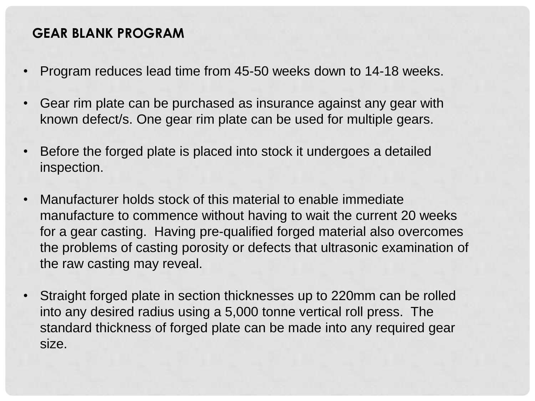#### **GEAR BLANK PROGRAM**

- Program reduces lead time from 45-50 weeks down to 14-18 weeks.
- Gear rim plate can be purchased as insurance against any gear with known defect/s. One gear rim plate can be used for multiple gears.
- Before the forged plate is placed into stock it undergoes a detailed inspection.
- Manufacturer holds stock of this material to enable immediate manufacture to commence without having to wait the current 20 weeks for a gear casting. Having pre-qualified forged material also overcomes the problems of casting porosity or defects that ultrasonic examination of the raw casting may reveal.
- Straight forged plate in section thicknesses up to 220mm can be rolled into any desired radius using a 5,000 tonne vertical roll press. The standard thickness of forged plate can be made into any required gear size.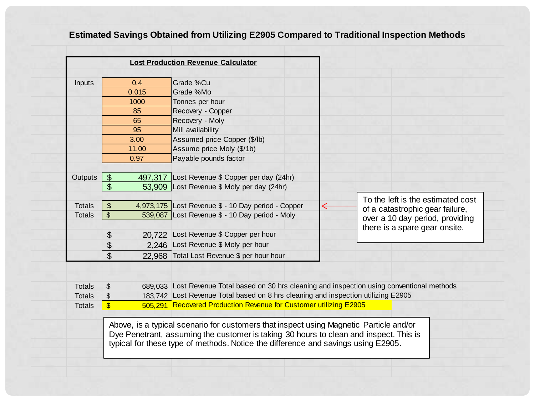#### **Estimated Savings Obtained from Utilizing E2905 Compared to Traditional Inspection Methods**

| <b>Inputs</b>                  |                                                                                        | 0.4   | Grade %Cu                                                                                                                                                                          |  |                                   |  |
|--------------------------------|----------------------------------------------------------------------------------------|-------|------------------------------------------------------------------------------------------------------------------------------------------------------------------------------------|--|-----------------------------------|--|
|                                |                                                                                        | 0.015 | Grade %Mo                                                                                                                                                                          |  |                                   |  |
|                                |                                                                                        | 1000  | Tonnes per hour                                                                                                                                                                    |  |                                   |  |
|                                |                                                                                        | 85    | Recovery - Copper                                                                                                                                                                  |  |                                   |  |
|                                |                                                                                        | 65    | Recovery - Moly                                                                                                                                                                    |  |                                   |  |
|                                |                                                                                        | 95    | Mill availability                                                                                                                                                                  |  |                                   |  |
|                                |                                                                                        | 3.00  | Assumed price Copper (\$/lb)                                                                                                                                                       |  |                                   |  |
|                                |                                                                                        | 11.00 | Assume price Moly (\$/1b)                                                                                                                                                          |  |                                   |  |
|                                |                                                                                        | 0.97  | Payable pounds factor                                                                                                                                                              |  |                                   |  |
|                                |                                                                                        |       |                                                                                                                                                                                    |  |                                   |  |
| Outputs                        | $\boldsymbol{\theta}$                                                                  |       | 497,317 Lost Revenue \$ Copper per day (24hr)                                                                                                                                      |  |                                   |  |
|                                | $\mathfrak{S}$                                                                         |       | 53,909 Lost Revenue \$ Moly per day (24hr)                                                                                                                                         |  |                                   |  |
|                                |                                                                                        |       |                                                                                                                                                                                    |  | To the left is the estimated cost |  |
| <b>Totals</b>                  | $\frac{1}{2}$                                                                          |       | 4,973,175 Lost Revenue \$ - 10 Day period - Copper                                                                                                                                 |  | of a catastrophic gear failure,   |  |
| <b>Totals</b>                  | $\mathbb{S}$                                                                           |       | 539,087 Lost Revenue \$ - 10 Day period - Moly                                                                                                                                     |  | over a 10 day period, providing   |  |
|                                |                                                                                        |       |                                                                                                                                                                                    |  | there is a spare gear onsite.     |  |
|                                | $\boldsymbol{\theta}$                                                                  |       | 20.722 Lost Revenue \$ Copper per hour                                                                                                                                             |  |                                   |  |
|                                | \$                                                                                     |       | 2.246 Lost Revenue \$ Moly per hour                                                                                                                                                |  |                                   |  |
|                                | $\overline{\mathcal{S}}$                                                               |       | 22,968 Total Lost Revenue \$ per hour hour                                                                                                                                         |  |                                   |  |
|                                |                                                                                        |       |                                                                                                                                                                                    |  |                                   |  |
|                                |                                                                                        |       |                                                                                                                                                                                    |  |                                   |  |
| <b>Totals</b><br><b>Totals</b> | \$<br>\$                                                                               |       | 689,033 Lost Revenue Total based on 30 hrs cleaning and inspection using conventional methods<br>183,742 Lost Revenue Total based on 8 hrs cleaning and inspection utilizing E2905 |  |                                   |  |
| <b>Totals</b>                  | $\overline{\mathbb{S}}$                                                                |       | 505,291 Recovered Production Revenue for Customer utilizing E2905                                                                                                                  |  |                                   |  |
|                                |                                                                                        |       |                                                                                                                                                                                    |  |                                   |  |
|                                | Above, is a typical scenario for customers that inspect using Magnetic Particle and/or |       |                                                                                                                                                                                    |  |                                   |  |
|                                | Dye Penetrant, assuming the customer is taking 30 hours to clean and inspect. This is  |       |                                                                                                                                                                                    |  |                                   |  |
|                                | typical for these type of methods. Notice the difference and savings using E2905.      |       |                                                                                                                                                                                    |  |                                   |  |
|                                |                                                                                        |       |                                                                                                                                                                                    |  |                                   |  |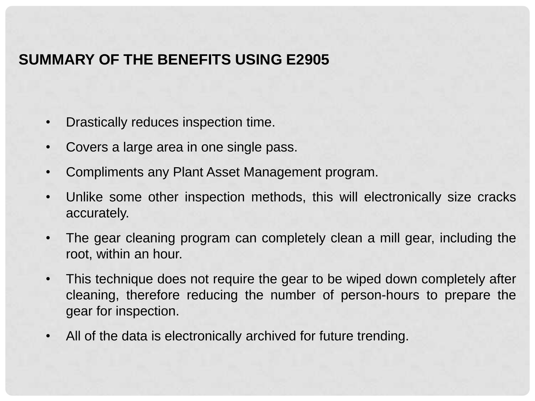#### **SUMMARY OF THE BENEFITS USING E2905**

- Drastically reduces inspection time.
- Covers a large area in one single pass.
- Compliments any Plant Asset Management program.
- Unlike some other inspection methods, this will electronically size cracks accurately.
- The gear cleaning program can completely clean a mill gear, including the root, within an hour.
- This technique does not require the gear to be wiped down completely after cleaning, therefore reducing the number of person-hours to prepare the gear for inspection.
- All of the data is electronically archived for future trending.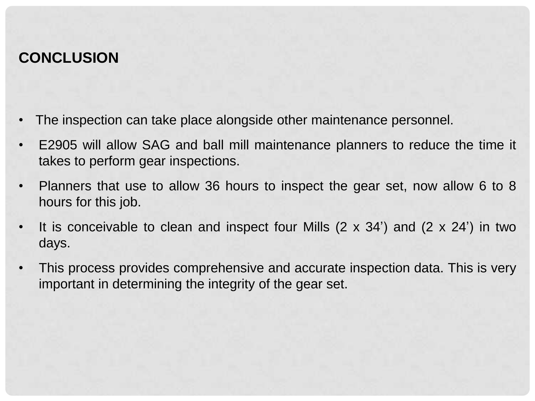#### **CONCLUSION**

- The inspection can take place alongside other maintenance personnel.
- E2905 will allow SAG and ball mill maintenance planners to reduce the time it takes to perform gear inspections.
- Planners that use to allow 36 hours to inspect the gear set, now allow 6 to 8 hours for this job.
- It is conceivable to clean and inspect four Mills  $(2 \times 34')$  and  $(2 \times 24')$  in two days.
- This process provides comprehensive and accurate inspection data. This is very important in determining the integrity of the gear set.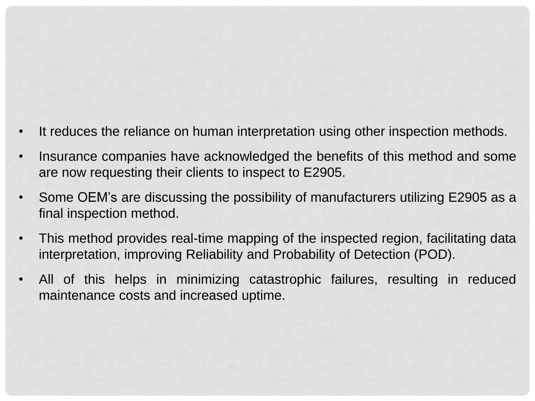- It reduces the reliance on human interpretation using other inspection methods.
- Insurance companies have acknowledged the benefits of this method and some are now requesting their clients to inspect to E2905.
- Some OEM's are discussing the possibility of manufacturers utilizing E2905 as a final inspection method.
- This method provides real-time mapping of the inspected region, facilitating data interpretation, improving Reliability and Probability of Detection (POD).
- All of this helps in minimizing catastrophic failures, resulting in reduced maintenance costs and increased uptime.